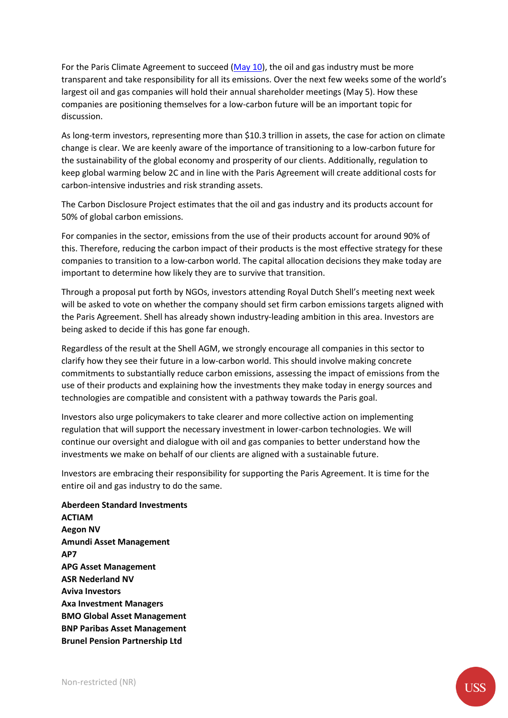For the Paris Climate Agreement to succeed [\(May 10\)](https://www.ft.com/content/da9bb032-5391-11e8-b3ee-41e0209208ec), the oil and gas industry must be more transparent and take responsibility for all its emissions. Over the next few weeks some of the world's largest oil and gas companies will hold their annual shareholder meetings (May 5). How these companies are positioning themselves for a low-carbon future will be an important topic for discussion.

As long-term investors, representing more than \$10.3 trillion in assets, the case for action on climate change is clear. We are keenly aware of the importance of transitioning to a low-carbon future for the sustainability of the global economy and prosperity of our clients. Additionally, regulation to keep global warming below 2C and in line with the Paris Agreement will create additional costs for carbon-intensive industries and risk stranding assets.

The Carbon Disclosure Project estimates that the oil and gas industry and its products account for 50% of global carbon emissions.

For companies in the sector, emissions from the use of their products account for around 90% of this. Therefore, reducing the carbon impact of their products is the most effective strategy for these companies to transition to a low-carbon world. The capital allocation decisions they make today are important to determine how likely they are to survive that transition.

Through a proposal put forth by NGOs, investors attending Royal Dutch Shell's meeting next week will be asked to vote on whether the company should set firm carbon emissions targets aligned with the Paris Agreement. Shell has already shown industry-leading ambition in this area. Investors are being asked to decide if this has gone far enough.

Regardless of the result at the Shell AGM, we strongly encourage all companies in this sector to clarify how they see their future in a low-carbon world. This should involve making concrete commitments to substantially reduce carbon emissions, assessing the impact of emissions from the use of their products and explaining how the investments they make today in energy sources and technologies are compatible and consistent with a pathway towards the Paris goal.

Investors also urge policymakers to take clearer and more collective action on implementing regulation that will support the necessary investment in lower-carbon technologies. We will continue our oversight and dialogue with oil and gas companies to better understand how the investments we make on behalf of our clients are aligned with a sustainable future.

Investors are embracing their responsibility for supporting the Paris Agreement. It is time for the entire oil and gas industry to do the same.

**Aberdeen Standard Investments ACTIAM Aegon NV Amundi Asset Management AP7 APG Asset Management ASR Nederland NV Aviva Investors Axa Investment Managers BMO Global Asset Management BNP Paribas Asset Management Brunel Pension Partnership Ltd**